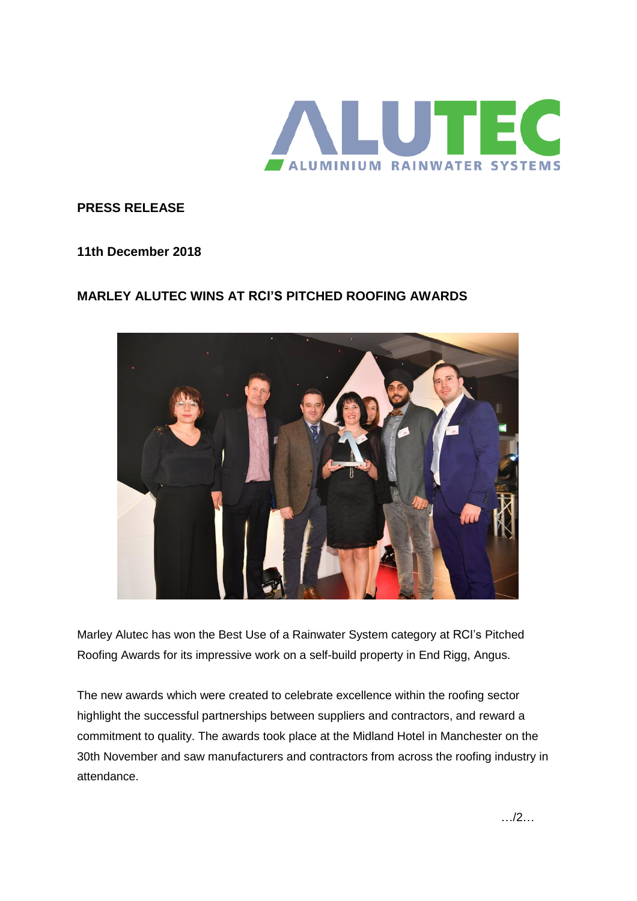

**PRESS RELEASE**

**11th December 2018**

## **MARLEY ALUTEC WINS AT RCI'S PITCHED ROOFING AWARDS**



Marley Alutec has won the Best Use of a Rainwater System category at RCI's Pitched Roofing Awards for its impressive work on a self-build property in End Rigg, Angus.

The new awards which were created to celebrate excellence within the roofing sector highlight the successful partnerships between suppliers and contractors, and reward a commitment to quality. The awards took place at the Midland Hotel in Manchester on the 30th November and saw manufacturers and contractors from across the roofing industry in attendance.

…/2…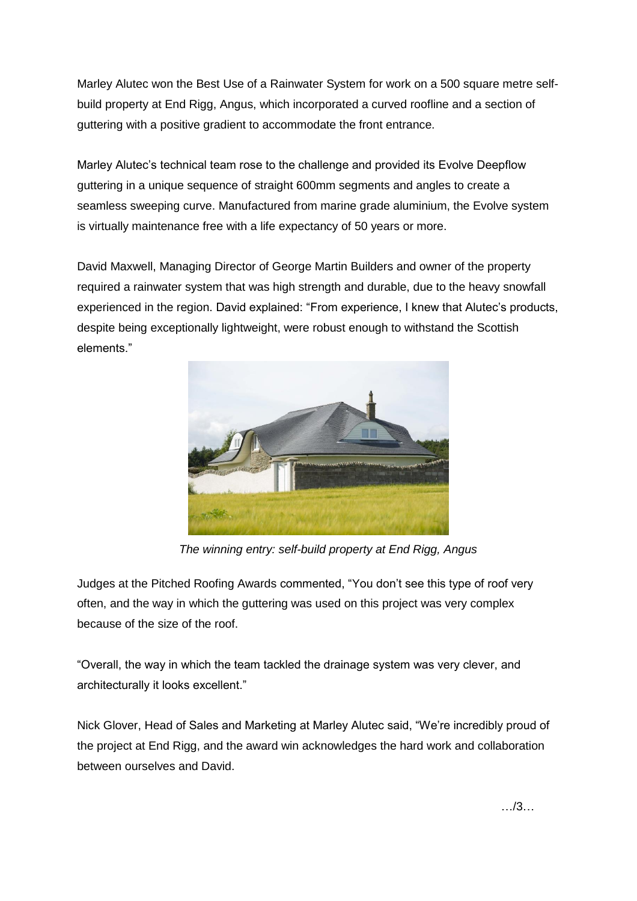Marley Alutec won the Best Use of a Rainwater System for work on a 500 square metre selfbuild property at End Rigg, Angus, which incorporated a curved roofline and a section of guttering with a positive gradient to accommodate the front entrance.

Marley Alutec's technical team rose to the challenge and provided its Evolve Deepflow guttering in a unique sequence of straight 600mm segments and angles to create a seamless sweeping curve. Manufactured from marine grade aluminium, the Evolve system is virtually maintenance free with a life expectancy of 50 years or more.

David Maxwell, Managing Director of George Martin Builders and owner of the property required a rainwater system that was high strength and durable, due to the heavy snowfall experienced in the region. David explained: "From experience, I knew that Alutec's products, despite being exceptionally lightweight, were robust enough to withstand the Scottish elements."



*The winning entry: self-build property at End Rigg, Angus*

Judges at the Pitched Roofing Awards commented, "You don't see this type of roof very often, and the way in which the guttering was used on this project was very complex because of the size of the roof.

"Overall, the way in which the team tackled the drainage system was very clever, and architecturally it looks excellent."

Nick Glover, Head of Sales and Marketing at Marley Alutec said, "We're incredibly proud of the project at End Rigg, and the award win acknowledges the hard work and collaboration between ourselves and David.